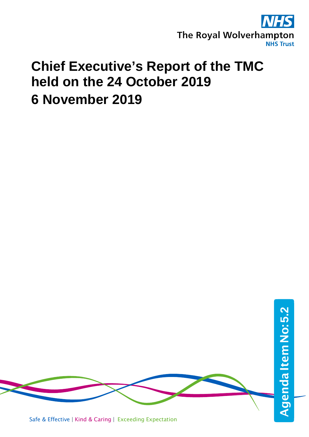

## **Chief Executive's Report of the TMC held on the 24 October 2019 6 November 2019**

Safe & Effective | Kind & Caring | Exceeding Expectation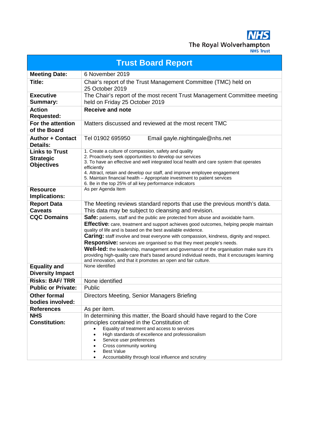**NHS** The Royal Wolverhampton

| <b>Trust Board Report</b>                                      |                                                                                                                                                                                                                                                                                                                                                                                                                                                                                                                                                                                                                                                                                                   |  |
|----------------------------------------------------------------|---------------------------------------------------------------------------------------------------------------------------------------------------------------------------------------------------------------------------------------------------------------------------------------------------------------------------------------------------------------------------------------------------------------------------------------------------------------------------------------------------------------------------------------------------------------------------------------------------------------------------------------------------------------------------------------------------|--|
| <b>Meeting Date:</b>                                           | 6 November 2019                                                                                                                                                                                                                                                                                                                                                                                                                                                                                                                                                                                                                                                                                   |  |
| Title:                                                         | Chair's report of the Trust Management Committee (TMC) held on<br>25 October 2019                                                                                                                                                                                                                                                                                                                                                                                                                                                                                                                                                                                                                 |  |
| <b>Executive</b><br>Summary:                                   | The Chair's report of the most recent Trust Management Committee meeting<br>held on Friday 25 October 2019                                                                                                                                                                                                                                                                                                                                                                                                                                                                                                                                                                                        |  |
| <b>Action</b><br><b>Requested:</b>                             | <b>Receive and note</b>                                                                                                                                                                                                                                                                                                                                                                                                                                                                                                                                                                                                                                                                           |  |
| For the attention<br>of the Board                              | Matters discussed and reviewed at the most recent TMC                                                                                                                                                                                                                                                                                                                                                                                                                                                                                                                                                                                                                                             |  |
| <b>Author + Contact</b><br><b>Details:</b>                     | Tel 01902 695950<br>Email gayle.nightingale@nhs.net                                                                                                                                                                                                                                                                                                                                                                                                                                                                                                                                                                                                                                               |  |
| <b>Links to Trust</b><br><b>Strategic</b><br><b>Objectives</b> | 1. Create a culture of compassion, safety and quality<br>2. Proactively seek opportunities to develop our services<br>3. To have an effective and well integrated local health and care system that operates<br>efficiently<br>4. Attract, retain and develop our staff, and improve employee engagement<br>5. Maintain financial health - Appropriate investment to patient services<br>6. Be in the top 25% of all key performance indicators                                                                                                                                                                                                                                                   |  |
| <b>Resource</b><br>Implications:                               | As per Agenda Item                                                                                                                                                                                                                                                                                                                                                                                                                                                                                                                                                                                                                                                                                |  |
| <b>Report Data</b><br><b>Caveats</b>                           | The Meeting reviews standard reports that use the previous month's data.<br>This data may be subject to cleansing and revision.                                                                                                                                                                                                                                                                                                                                                                                                                                                                                                                                                                   |  |
| <b>CQC Domains</b>                                             | Safe: patients, staff and the public are protected from abuse and avoidable harm.<br><b>Effective:</b> care, treatment and support achieves good outcomes, helping people maintain<br>quality of life and is based on the best available evidence.<br><b>Caring:</b> staff involve and treat everyone with compassion, kindness, dignity and respect.<br><b>Responsive:</b> services are organised so that they meet people's needs.<br>Well-led: the leadership, management and governance of the organisation make sure it's<br>providing high-quality care that's based around individual needs, that it encourages learning<br>and innovation, and that it promotes an open and fair culture. |  |
| <b>Equality and</b><br><b>Diversity Impact</b>                 | None identified                                                                                                                                                                                                                                                                                                                                                                                                                                                                                                                                                                                                                                                                                   |  |
| <b>Risks: BAF/TRR</b>                                          | None identified                                                                                                                                                                                                                                                                                                                                                                                                                                                                                                                                                                                                                                                                                   |  |
| <b>Public or Private:</b>                                      | Public                                                                                                                                                                                                                                                                                                                                                                                                                                                                                                                                                                                                                                                                                            |  |
| <b>Other formal</b><br>bodies involved:                        | Directors Meeting, Senior Managers Briefing                                                                                                                                                                                                                                                                                                                                                                                                                                                                                                                                                                                                                                                       |  |
| <b>References</b>                                              | As per item.                                                                                                                                                                                                                                                                                                                                                                                                                                                                                                                                                                                                                                                                                      |  |
| <b>NHS</b><br><b>Constitution:</b>                             | In determining this matter, the Board should have regard to the Core<br>principles contained in the Constitution of:<br>Equality of treatment and access to services<br>$\bullet$<br>High standards of excellence and professionalism<br>Service user preferences<br>Cross community working<br><b>Best Value</b>                                                                                                                                                                                                                                                                                                                                                                                 |  |
|                                                                | Accountability through local influence and scrutiny                                                                                                                                                                                                                                                                                                                                                                                                                                                                                                                                                                                                                                               |  |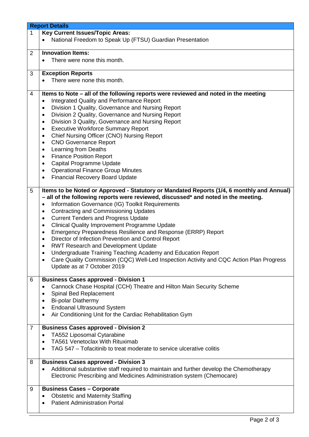|   | <b>Report Details</b>                                                                                                                                                                                                                                                                                                                                                                                                                                                                                                                                                                                                                                                                                                                                                                                                                                                                                                                                        |  |  |
|---|--------------------------------------------------------------------------------------------------------------------------------------------------------------------------------------------------------------------------------------------------------------------------------------------------------------------------------------------------------------------------------------------------------------------------------------------------------------------------------------------------------------------------------------------------------------------------------------------------------------------------------------------------------------------------------------------------------------------------------------------------------------------------------------------------------------------------------------------------------------------------------------------------------------------------------------------------------------|--|--|
| 1 | <b>Key Current Issues/Topic Areas:</b>                                                                                                                                                                                                                                                                                                                                                                                                                                                                                                                                                                                                                                                                                                                                                                                                                                                                                                                       |  |  |
|   | National Freedom to Speak Up (FTSU) Guardian Presentation                                                                                                                                                                                                                                                                                                                                                                                                                                                                                                                                                                                                                                                                                                                                                                                                                                                                                                    |  |  |
|   |                                                                                                                                                                                                                                                                                                                                                                                                                                                                                                                                                                                                                                                                                                                                                                                                                                                                                                                                                              |  |  |
| 2 | <b>Innovation Items:</b>                                                                                                                                                                                                                                                                                                                                                                                                                                                                                                                                                                                                                                                                                                                                                                                                                                                                                                                                     |  |  |
|   | There were none this month.                                                                                                                                                                                                                                                                                                                                                                                                                                                                                                                                                                                                                                                                                                                                                                                                                                                                                                                                  |  |  |
|   |                                                                                                                                                                                                                                                                                                                                                                                                                                                                                                                                                                                                                                                                                                                                                                                                                                                                                                                                                              |  |  |
|   |                                                                                                                                                                                                                                                                                                                                                                                                                                                                                                                                                                                                                                                                                                                                                                                                                                                                                                                                                              |  |  |
| 3 | <b>Exception Reports</b>                                                                                                                                                                                                                                                                                                                                                                                                                                                                                                                                                                                                                                                                                                                                                                                                                                                                                                                                     |  |  |
|   | There were none this month.                                                                                                                                                                                                                                                                                                                                                                                                                                                                                                                                                                                                                                                                                                                                                                                                                                                                                                                                  |  |  |
|   |                                                                                                                                                                                                                                                                                                                                                                                                                                                                                                                                                                                                                                                                                                                                                                                                                                                                                                                                                              |  |  |
| 4 | Items to Note - all of the following reports were reviewed and noted in the meeting                                                                                                                                                                                                                                                                                                                                                                                                                                                                                                                                                                                                                                                                                                                                                                                                                                                                          |  |  |
|   | Integrated Quality and Performance Report<br>$\bullet$                                                                                                                                                                                                                                                                                                                                                                                                                                                                                                                                                                                                                                                                                                                                                                                                                                                                                                       |  |  |
|   | Division 1 Quality, Governance and Nursing Report<br>$\bullet$                                                                                                                                                                                                                                                                                                                                                                                                                                                                                                                                                                                                                                                                                                                                                                                                                                                                                               |  |  |
|   | Division 2 Quality, Governance and Nursing Report<br>$\bullet$                                                                                                                                                                                                                                                                                                                                                                                                                                                                                                                                                                                                                                                                                                                                                                                                                                                                                               |  |  |
|   | Division 3 Quality, Governance and Nursing Report<br>$\bullet$                                                                                                                                                                                                                                                                                                                                                                                                                                                                                                                                                                                                                                                                                                                                                                                                                                                                                               |  |  |
|   | <b>Executive Workforce Summary Report</b><br>$\bullet$                                                                                                                                                                                                                                                                                                                                                                                                                                                                                                                                                                                                                                                                                                                                                                                                                                                                                                       |  |  |
|   | Chief Nursing Officer (CNO) Nursing Report<br>$\bullet$                                                                                                                                                                                                                                                                                                                                                                                                                                                                                                                                                                                                                                                                                                                                                                                                                                                                                                      |  |  |
|   |                                                                                                                                                                                                                                                                                                                                                                                                                                                                                                                                                                                                                                                                                                                                                                                                                                                                                                                                                              |  |  |
|   | <b>CNO Governance Report</b><br>٠                                                                                                                                                                                                                                                                                                                                                                                                                                                                                                                                                                                                                                                                                                                                                                                                                                                                                                                            |  |  |
|   | Learning from Deaths<br>$\bullet$                                                                                                                                                                                                                                                                                                                                                                                                                                                                                                                                                                                                                                                                                                                                                                                                                                                                                                                            |  |  |
|   | <b>Finance Position Report</b><br>٠                                                                                                                                                                                                                                                                                                                                                                                                                                                                                                                                                                                                                                                                                                                                                                                                                                                                                                                          |  |  |
|   | Capital Programme Update<br>٠                                                                                                                                                                                                                                                                                                                                                                                                                                                                                                                                                                                                                                                                                                                                                                                                                                                                                                                                |  |  |
|   | <b>Operational Finance Group Minutes</b><br>٠                                                                                                                                                                                                                                                                                                                                                                                                                                                                                                                                                                                                                                                                                                                                                                                                                                                                                                                |  |  |
|   | <b>Financial Recovery Board Update</b><br>$\bullet$                                                                                                                                                                                                                                                                                                                                                                                                                                                                                                                                                                                                                                                                                                                                                                                                                                                                                                          |  |  |
|   |                                                                                                                                                                                                                                                                                                                                                                                                                                                                                                                                                                                                                                                                                                                                                                                                                                                                                                                                                              |  |  |
| 6 | - all of the following reports were reviewed, discussed* and noted in the meeting.<br>Information Governance (IG) Toolkit Requirements<br>$\bullet$<br>Contracting and Commissioning Updates<br>$\bullet$<br><b>Current Tenders and Progress Update</b><br>$\bullet$<br><b>Clinical Quality Improvement Programme Update</b><br>$\bullet$<br>Emergency Preparedness Resilience and Response (ERRP) Report<br>$\bullet$<br>Director of Infection Prevention and Control Report<br>٠<br><b>RWT Research and Development Update</b><br>$\bullet$<br>Undergraduate Training Teaching Academy and Education Report<br>Care Quality Commission (CQC) Well-Led Inspection Activity and CQC Action Plan Progress<br>Update as at 7 October 2019<br><b>Business Cases approved - Division 1</b><br>Cannock Chase Hospital (CCH) Theatre and Hilton Main Security Scheme<br>$\bullet$<br>Spinal Bed Replacement<br>$\bullet$<br><b>Bi-polar Diathermy</b><br>$\bullet$ |  |  |
|   | <b>Endoanal Ultrasound System</b><br>٠                                                                                                                                                                                                                                                                                                                                                                                                                                                                                                                                                                                                                                                                                                                                                                                                                                                                                                                       |  |  |
|   | Air Conditioning Unit for the Cardiac Rehabilitation Gym                                                                                                                                                                                                                                                                                                                                                                                                                                                                                                                                                                                                                                                                                                                                                                                                                                                                                                     |  |  |
|   |                                                                                                                                                                                                                                                                                                                                                                                                                                                                                                                                                                                                                                                                                                                                                                                                                                                                                                                                                              |  |  |
| 7 | <b>Business Cases approved - Division 2</b>                                                                                                                                                                                                                                                                                                                                                                                                                                                                                                                                                                                                                                                                                                                                                                                                                                                                                                                  |  |  |
|   | TA552 Liposomal Cytarabine                                                                                                                                                                                                                                                                                                                                                                                                                                                                                                                                                                                                                                                                                                                                                                                                                                                                                                                                   |  |  |
|   | <b>TA561 Venetoclax With Rituximab</b>                                                                                                                                                                                                                                                                                                                                                                                                                                                                                                                                                                                                                                                                                                                                                                                                                                                                                                                       |  |  |
|   | TAG 547 – Tofacitinib to treat moderate to service ulcerative colitis                                                                                                                                                                                                                                                                                                                                                                                                                                                                                                                                                                                                                                                                                                                                                                                                                                                                                        |  |  |
|   |                                                                                                                                                                                                                                                                                                                                                                                                                                                                                                                                                                                                                                                                                                                                                                                                                                                                                                                                                              |  |  |
| 8 | <b>Business Cases approved - Division 3</b>                                                                                                                                                                                                                                                                                                                                                                                                                                                                                                                                                                                                                                                                                                                                                                                                                                                                                                                  |  |  |
|   | Additional substantive staff required to maintain and further develop the Chemotherapy                                                                                                                                                                                                                                                                                                                                                                                                                                                                                                                                                                                                                                                                                                                                                                                                                                                                       |  |  |
|   | Electronic Prescribing and Medicines Administration system (Chemocare)                                                                                                                                                                                                                                                                                                                                                                                                                                                                                                                                                                                                                                                                                                                                                                                                                                                                                       |  |  |
|   |                                                                                                                                                                                                                                                                                                                                                                                                                                                                                                                                                                                                                                                                                                                                                                                                                                                                                                                                                              |  |  |
| 9 | <b>Business Cases - Corporate</b>                                                                                                                                                                                                                                                                                                                                                                                                                                                                                                                                                                                                                                                                                                                                                                                                                                                                                                                            |  |  |
|   | <b>Obstetric and Maternity Staffing</b>                                                                                                                                                                                                                                                                                                                                                                                                                                                                                                                                                                                                                                                                                                                                                                                                                                                                                                                      |  |  |
|   | <b>Patient Administration Portal</b>                                                                                                                                                                                                                                                                                                                                                                                                                                                                                                                                                                                                                                                                                                                                                                                                                                                                                                                         |  |  |
|   |                                                                                                                                                                                                                                                                                                                                                                                                                                                                                                                                                                                                                                                                                                                                                                                                                                                                                                                                                              |  |  |
|   |                                                                                                                                                                                                                                                                                                                                                                                                                                                                                                                                                                                                                                                                                                                                                                                                                                                                                                                                                              |  |  |